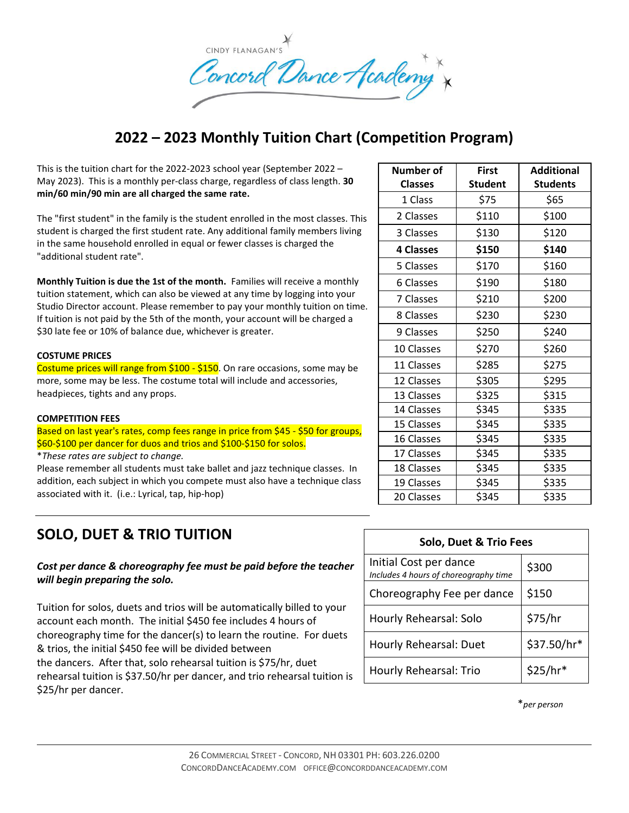

# **2022 – 2023 Monthly Tuition Chart (Competition Program)**

This is the tuition chart for the 2022-2023 school year (September 2022 – May 2023). This is a monthly per-class charge, regardless of class length. **30 min/60 min/90 min are all charged the same rate.** 

The "first student" in the family is the student enrolled in the most classes. This student is charged the first student rate. Any additional family members living in the same household enrolled in equal or fewer classes is charged the "additional student rate".

**Monthly Tuition is due the 1st of the month.** Families will receive a monthly tuition statement, which can also be viewed at any time by logging into your Studio Director account. Please remember to pay your monthly tuition on time. If tuition is not paid by the 5th of the month, your account will be charged a \$30 late fee or 10% of balance due, whichever is greater.

### **COSTUME PRICES**

Costume prices will range from \$100 - \$150. On rare occasions, some may be more, some may be less. The costume total will include and accessories, headpieces, tights and any props.

#### **COMPETITION FEES**

Based on last year's rates, comp fees range in price from \$45 - \$50 for groups, \$60-\$100 per dancer for duos and trios and \$100-\$150 for solos.

\**These rates are subject to change.*

Please remember all students must take ballet and jazz technique classes. In addition, each subject in which you compete must also have a technique class associated with it. (i.e.: Lyrical, tap, hip-hop)

### **SOLO, DUET & TRIO TUITION**

*Cost per dance & choreography fee must be paid before the teacher will begin preparing the solo.*

Tuition for solos, duets and trios will be automatically billed to your account each month. The initial \$450 fee includes 4 hours of choreography time for the dancer(s) to learn the routine. For duets & trios, the initial \$450 fee will be divided between the dancers. After that, solo rehearsal tuition is \$75/hr, duet rehearsal tuition is \$37.50/hr per dancer, and trio rehearsal tuition is \$25/hr per dancer.

| Number of        | <b>First</b>   | <b>Additional</b> |
|------------------|----------------|-------------------|
| <b>Classes</b>   | <b>Student</b> | <b>Students</b>   |
| 1 Class          | \$75           | \$65              |
| 2 Classes        | \$110          | \$100             |
| 3 Classes        | \$130          | \$120             |
| <b>4 Classes</b> | \$150          | \$140             |
| 5 Classes        | \$170          | \$160             |
| 6 Classes        | \$190          | \$180             |
| 7 Classes        | \$210          | \$200             |
| 8 Classes        | \$230          | \$230             |
| 9 Classes        | \$250          | \$240             |
| 10 Classes       | \$270          | \$260             |
| 11 Classes       | \$285          | \$275             |
| 12 Classes       | \$305          | \$295             |
| 13 Classes       | \$325          | \$315             |
| 14 Classes       | \$345          | \$335             |
| 15 Classes       | \$345          | \$335             |
| 16 Classes       | \$345          | \$335             |
| 17 Classes       | \$345          | \$335             |
| 18 Classes       | \$345          | \$335             |
| 19 Classes       | \$345          | \$335             |
| 20 Classes       | \$345          | \$335             |

| Solo, Duet & Trio Fees                                          |             |  |  |
|-----------------------------------------------------------------|-------------|--|--|
| Initial Cost per dance<br>Includes 4 hours of choreography time | \$300       |  |  |
| Choreography Fee per dance                                      | \$150       |  |  |
| Hourly Rehearsal: Solo                                          | \$75/hr     |  |  |
| Hourly Rehearsal: Duet                                          | \$37.50/hr* |  |  |
| Hourly Rehearsal: Trio                                          | $$25/hr*$   |  |  |

\**per person*